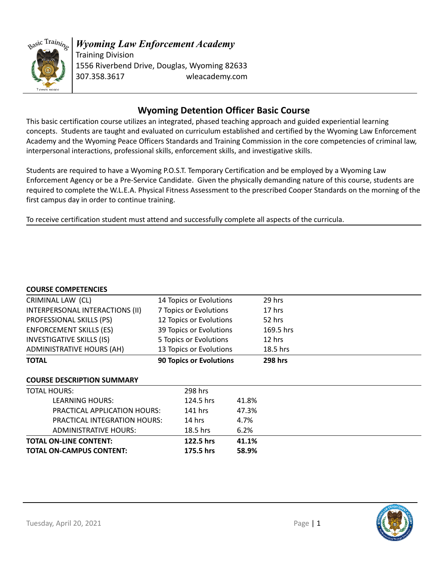

### *Wyoming Law Enforcement Academy* Training Division 1556 Riverbend Drive, Douglas, Wyoming 82633

307.358.3617 wleacademy.com

## **Wyoming Detention Officer Basic Course**

This basic certification course utilizes an integrated, phased teaching approach and guided experiential learning concepts. Students are taught and evaluated on curriculum established and certified by the Wyoming Law Enforcement Academy and the Wyoming Peace Officers Standards and Training Commission in the core competencies of criminal law, interpersonal interactions, professional skills, enforcement skills, and investigative skills.

Students are required to have a Wyoming P.O.S.T. Temporary Certification and be employed by a Wyoming Law Enforcement Agency or be a Pre-Service Candidate. Given the physically demanding nature of this course, students are required to complete the W.L.E.A. Physical Fitness Assessment to the prescribed Cooper Standards on the morning of the first campus day in order to continue training.

To receive certification student must attend and successfully complete all aspects of the curricula.

#### **COURSE COMPETENCIES**

| COONJE CONTETENTED                |                                |       |                |  |
|-----------------------------------|--------------------------------|-------|----------------|--|
| CRIMINAL LAW (CL)                 | 14 Topics or Evolutions        |       | 29 hrs         |  |
| INTERPERSONAL INTERACTIONS (II)   | 7 Topics or Evolutions         |       | 17 hrs         |  |
| PROFESSIONAL SKILLS (PS)          | 12 Topics or Evolutions        |       | 52 hrs         |  |
| <b>ENFORCEMENT SKILLS (ES)</b>    | 39 Topics or Evolutions        |       | 169.5 hrs      |  |
| <b>INVESTIGATIVE SKILLS (IS)</b>  | 5 Topics or Evolutions         |       | 12 hrs         |  |
| ADMINISTRATIVE HOURS (AH)         | 13 Topics or Evolutions        |       | 18.5 hrs       |  |
| <b>TOTAL</b>                      | <b>90 Topics or Evolutions</b> |       | <b>298 hrs</b> |  |
| <b>COURSE DESCRIPTION SUMMARY</b> |                                |       |                |  |
| <b>TOTAL HOURS:</b>               | 298 hrs                        |       |                |  |
| LEARNING HOURS:                   | 124.5 hrs                      | 41.8% |                |  |
| PRACTICAL APPLICATION HOURS:      | $141$ hrs                      | 47.3% |                |  |
| PRACTICAL INTEGRATION HOURS:      | $14$ hrs                       | 4.7%  |                |  |
| <b>ADMINISTRATIVE HOURS:</b>      | $18.5$ hrs                     | 6.2%  |                |  |
| <b>TOTAL ON-LINE CONTENT:</b>     | 122.5 hrs                      | 41.1% |                |  |
| <b>TOTAL ON-CAMPUS CONTENT:</b>   | 175.5 hrs                      | 58.9% |                |  |

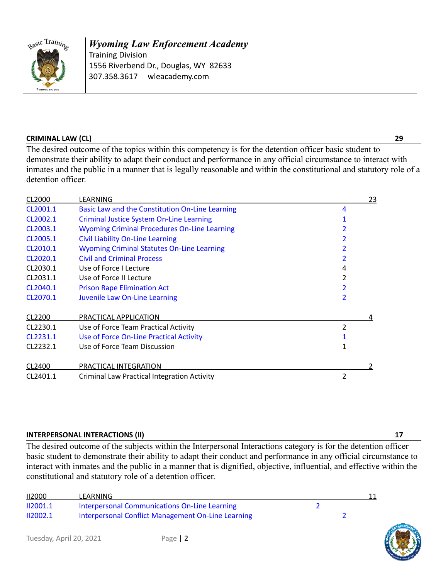

*Wyoming Law Enforcement Academy* Training Division 1556 Riverbend Dr., Douglas, WY 82633 307.358.3617 wleacademy.com

#### **CRIMINAL LAW (CL) 29**

The desired outcome of the topics within this competency is for the detention officer basic student to demonstrate their ability to adapt their conduct and performance in any official circumstance to interact with inmates and the public in a manner that is legally reasonable and within the constitutional and statutory role of a detention officer.

| CL2000   | LEARNING                                            |                | <u>23</u> |
|----------|-----------------------------------------------------|----------------|-----------|
| CL2001.1 | Basic Law and the Constitution On-Line Learning     | 4              |           |
| CL2002.1 | <b>Criminal Justice System On-Line Learning</b>     |                |           |
| CL2003.1 | <b>Wyoming Criminal Procedures On-Line Learning</b> |                |           |
| CL2005.1 | <b>Civil Liability On-Line Learning</b>             |                |           |
| CL2010.1 | <b>Wyoming Criminal Statutes On-Line Learning</b>   |                |           |
| CL2020.1 | <b>Civil and Criminal Process</b>                   |                |           |
| CL2030.1 | Use of Force I Lecture                              | 4              |           |
| CL2031.1 | Use of Force II Lecture                             |                |           |
| CL2040.1 | <b>Prison Rape Elimination Act</b>                  |                |           |
| CL2070.1 | Juvenile Law On-Line Learning                       | 2              |           |
| CL2200   | PRACTICAL APPLICATION                               |                | 4         |
| CL2230.1 | Use of Force Team Practical Activity                | 2              |           |
| CL2231.1 | Use of Force On-Line Practical Activity             |                |           |
| CL2232.1 | Use of Force Team Discussion                        |                |           |
| CL2400   | PRACTICAL INTEGRATION                               |                |           |
| CL2401.1 | <b>Criminal Law Practical Integration Activity</b>  | $\overline{2}$ |           |

#### **INTERPERSONAL INTERACTIONS (II) 17**

The desired outcome of the subjects within the Interpersonal Interactions category is for the detention officer basic student to demonstrate their ability to adapt their conduct and performance in any official circumstance to interact with inmates and the public in a manner that is dignified, objective, influential, and effective within the constitutional and statutory role of a detention officer.

| <b>II2000</b> | LEARNING                                           |  |  |
|---------------|----------------------------------------------------|--|--|
| 112001.1      | Interpersonal Communications On-Line Learning      |  |  |
| 112002.1      | Interpersonal Conflict Management On-Line Learning |  |  |



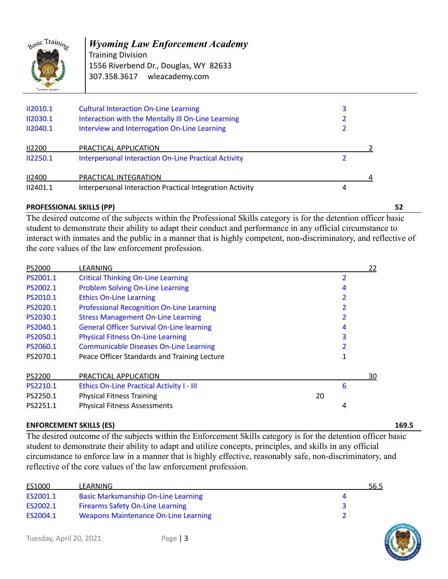

## *Wyoming Law Enforcement Academy*

Training Division 1556 Riverbend Dr., Douglas, WY 82633 307.358.3617 wleacademy.com

| II2010.1        | <b>Cultural Interaction On-Line Learning</b>                | 3 |
|-----------------|-------------------------------------------------------------|---|
| II2030.1        | Interaction with the Mentally III On-Line Learning          |   |
| <b>II2040.1</b> | Interview and Interrogation On-Line Learning                |   |
| <b>II2200</b>   | PRACTICAL APPLICATION                                       |   |
| II2250.1        | <b>Interpersonal Interaction On-Line Practical Activity</b> |   |
| <b>II2400</b>   | PRACTICAL INTEGRATION                                       |   |
| II2401.1        | Interpersonal Interaction Practical Integration Activity    | 4 |

#### **PROFESSIONAL SKILLS (PP) 52**

The desired outcome of the subjects within the Professional Skills category is for the detention officer basic student to demonstrate their ability to adapt their conduct and performance in any official circumstance to interact with inmates and the public in a manner that is highly competent, non-discriminatory, and reflective of the core values of the law enforcement profession.

| PS2000   | LEARNING                                         |    |   | <u>22</u> |
|----------|--------------------------------------------------|----|---|-----------|
| PS2001.1 | <b>Critical Thinking On-Line Learning</b>        |    |   |           |
| PS2002.1 | <b>Problem Solving On-Line Learning</b>          |    | 4 |           |
| PS2010.1 | <b>Ethics On-Line Learning</b>                   |    |   |           |
| PS2020.1 | <b>Professional Recognition On-Line Learning</b> |    |   |           |
| PS2030.1 | <b>Stress Management On-Line Learning</b>        |    |   |           |
| PS2040.1 | <b>General Officer Survival On-Line learning</b> |    | 4 |           |
| PS2050.1 | <b>Physical Fitness On-Line Learning</b>         |    | 3 |           |
| PS2060.1 | <b>Communicable Diseases On-Line Learning</b>    |    |   |           |
| PS2070.1 | Peace Officer Standards and Training Lecture     |    | 1 |           |
| PS2200   | PRACTICAL APPLICATION                            |    |   | 30        |
| PS2210.1 | <b>Ethics On-Line Practical Activity I - III</b> |    | 6 |           |
| PS2250.1 | <b>Physical Fitness Training</b>                 | 20 |   |           |
| PS2251.1 | <b>Physical Fitness Assessments</b>              |    | 4 |           |

#### **ENFORCEMENT SKILLS (ES) 169.5**

The desired outcome of the subjects within the Enforcement Skills category is for the detention officer basic student to demonstrate their ability to adapt and utilize concepts, principles, and skills in any official circumstance to enforce law in a manner that is highly effective, reasonably safe, non-discriminatory, and reflective of the core values of the law enforcement profession.

| ES1000   | LEARNING                                    | 56.5 |
|----------|---------------------------------------------|------|
| ES2001.1 | <b>Basic Marksmanship On-Line Learning</b>  |      |
| ES2002.1 | <b>Firearms Safety On-Line Learning</b>     |      |
| ES2004.1 | <b>Weapons Maintenance On-Line Learning</b> |      |

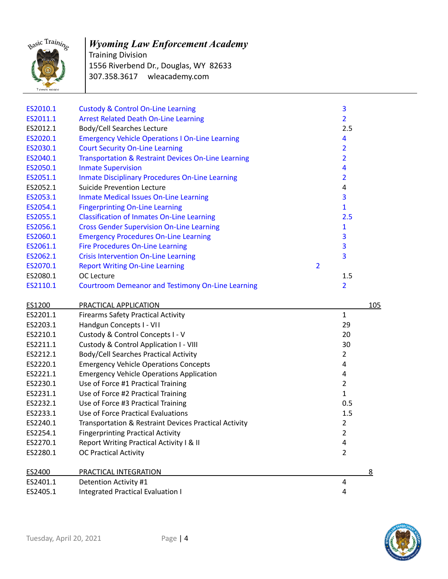

# *Wyoming Law Enforcement Academy*

Training Division 1556 Riverbend Dr., Douglas, WY 82633 307.358.3617 wleacademy.com

| ES2010.1 | <b>Custody &amp; Control On-Line Learning</b>            | 3                       |          |
|----------|----------------------------------------------------------|-------------------------|----------|
| ES2011.1 | <b>Arrest Related Death On-Line Learning</b>             | $\overline{2}$          |          |
| ES2012.1 | <b>Body/Cell Searches Lecture</b>                        | 2.5                     |          |
| ES2020.1 | <b>Emergency Vehicle Operations I On-Line Learning</b>   | 4                       |          |
| ES2030.1 | <b>Court Security On-Line Learning</b>                   | $\overline{2}$          |          |
| ES2040.1 | Transportation & Restraint Devices On-Line Learning      | $\overline{\mathbf{2}}$ |          |
| ES2050.1 | <b>Inmate Supervision</b>                                | $\overline{\mathbf{4}}$ |          |
| ES2051.1 | <b>Inmate Disciplinary Procedures On-Line Learning</b>   | 2                       |          |
| ES2052.1 | <b>Suicide Prevention Lecture</b>                        | $\overline{4}$          |          |
| ES2053.1 | <b>Inmate Medical Issues On-Line Learning</b>            | 3                       |          |
| ES2054.1 | <b>Fingerprinting On-Line Learning</b>                   | $\mathbf{1}$            |          |
| ES2055.1 | <b>Classification of Inmates On-Line Learning</b>        | 2.5                     |          |
| ES2056.1 | <b>Cross Gender Supervision On-Line Learning</b>         | 1                       |          |
| ES2060.1 | <b>Emergency Procedures On-Line Learning</b>             | 3                       |          |
| ES2061.1 | <b>Fire Procedures On-Line Learning</b>                  | 3                       |          |
| ES2062.1 | <b>Crisis Intervention On-Line Learning</b>              | 3                       |          |
| ES2070.1 | $\overline{2}$<br><b>Report Writing On-Line Learning</b> |                         |          |
| ES2080.1 | OC Lecture                                               | 1.5                     |          |
| ES2110.1 | <b>Courtroom Demeanor and Testimony On-Line Learning</b> | 2                       |          |
|          |                                                          |                         |          |
|          |                                                          |                         |          |
| ES1200   | PRACTICAL APPLICATION                                    |                         | 105      |
| ES2201.1 | <b>Firearms Safety Practical Activity</b>                | $\mathbf{1}$            |          |
| ES2203.1 | Handgun Concepts I - VII                                 | 29                      |          |
| ES2210.1 | Custody & Control Concepts I - V                         | 20                      |          |
| ES2211.1 | Custody & Control Application I - VIII                   | 30                      |          |
| ES2212.1 | Body/Cell Searches Practical Activity                    | $\overline{2}$          |          |
| ES2220.1 | <b>Emergency Vehicle Operations Concepts</b>             | 4                       |          |
| ES2221.1 | <b>Emergency Vehicle Operations Application</b>          | 4                       |          |
| ES2230.1 | Use of Force #1 Practical Training                       | $\overline{2}$          |          |
| ES2231.1 | Use of Force #2 Practical Training                       | $\mathbf{1}$            |          |
| ES2232.1 | Use of Force #3 Practical Training                       | 0.5                     |          |
| ES2233.1 | Use of Force Practical Evaluations                       | 1.5                     |          |
| ES2240.1 | Transportation & Restraint Devices Practical Activity    | $\overline{2}$          |          |
| ES2254.1 | <b>Fingerprinting Practical Activity</b>                 | $\overline{2}$          |          |
| ES2270.1 | Report Writing Practical Activity I & II                 | 4                       |          |
| ES2280.1 | <b>OC Practical Activity</b>                             | $\overline{2}$          |          |
| ES2400   | PRACTICAL INTEGRATION                                    |                         | <u>8</u> |
| ES2401.1 | Detention Activity #1                                    | 4                       |          |

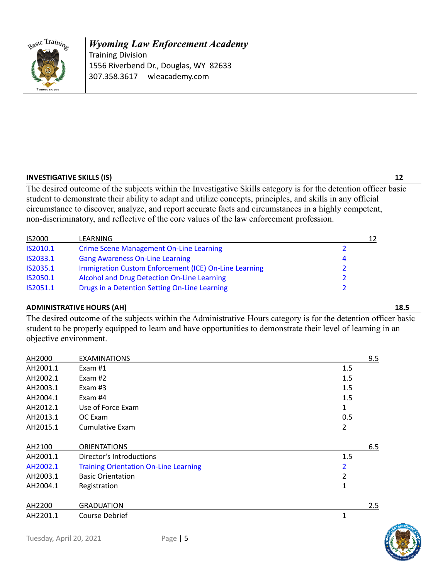

#### *Wyoming Law Enforcement Academy* Training Division 1556 Riverbend Dr., Douglas, WY 82633 307.358.3617 wleacademy.com

#### **INVESTIGATIVE SKILLS (IS) 12**

The desired outcome of the subjects within the Investigative Skills category is for the detention officer basic student to demonstrate their ability to adapt and utilize concepts, principles, and skills in any official circumstance to discover, analyze, and report accurate facts and circumstances in a highly competent, non-discriminatory, and reflective of the core values of the law enforcement profession.

| <b>IS2000</b>   | LEARNING                                              | 12 |
|-----------------|-------------------------------------------------------|----|
| IS2010.1        | <b>Crime Scene Management On-Line Learning</b>        |    |
| IS2033.1        | <b>Gang Awareness On-Line Learning</b>                | 4  |
| <b>IS2035.1</b> | Immigration Custom Enforcement (ICE) On-Line Learning |    |
| IS2050.1        | Alcohol and Drug Detection On-Line Learning           |    |
| IS2051.1        | Drugs in a Detention Setting On-Line Learning         |    |

#### **ADMINISTRATIVE HOURS (AH) 18.5**

The desired outcome of the subjects within the Administrative Hours category is for the detention officer basic student to be properly equipped to learn and have opportunities to demonstrate their level of learning in an objective environment.

| AH2000   | <b>EXAMINATIONS</b>                          |     | 9.5 |
|----------|----------------------------------------------|-----|-----|
| AH2001.1 | Exam $#1$                                    | 1.5 |     |
| AH2002.1 | Exam $#2$                                    | 1.5 |     |
| AH2003.1 | Exam $#3$                                    | 1.5 |     |
| AH2004.1 | Exam #4                                      | 1.5 |     |
| AH2012.1 | Use of Force Exam                            | 1   |     |
| AH2013.1 | OC Exam                                      | 0.5 |     |
| AH2015.1 | Cumulative Exam                              | 2   |     |
| AH2100   | <b>ORIENTATIONS</b>                          |     | 6.5 |
| AH2001.1 | Director's Introductions                     | 1.5 |     |
| AH2002.1 | <b>Training Orientation On-Line Learning</b> | 2   |     |
| AH2003.1 | <b>Basic Orientation</b>                     | 2   |     |
| AH2004.1 | Registration                                 | 1   |     |
| AH2200   | <b>GRADUATION</b>                            |     | 2.5 |
| AH2201.1 | Course Debrief                               | 1   |     |